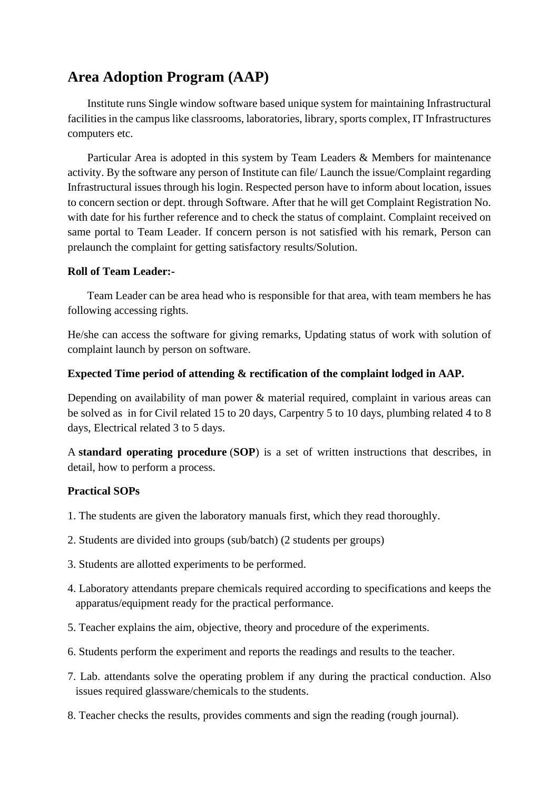## **Area Adoption Program (AAP)**

Institute runs Single window software based unique system for maintaining Infrastructural facilities in the campus like classrooms, laboratories, library, sports complex, IT Infrastructures computers etc.

Particular Area is adopted in this system by Team Leaders & Members for maintenance activity. By the software any person of Institute can file/ Launch the issue/Complaint regarding Infrastructural issues through his login. Respected person have to inform about location, issues to concern section or dept. through Software. After that he will get Complaint Registration No. with date for his further reference and to check the status of complaint. Complaint received on same portal to Team Leader. If concern person is not satisfied with his remark, Person can prelaunch the complaint for getting satisfactory results/Solution.

## **Roll of Team Leader:-**

Team Leader can be area head who is responsible for that area, with team members he has following accessing rights.

He/she can access the software for giving remarks, Updating status of work with solution of complaint launch by person on software.

## **Expected Time period of attending & rectification of the complaint lodged in AAP.**

Depending on availability of man power & material required, complaint in various areas can be solved as in for Civil related 15 to 20 days, Carpentry 5 to 10 days, plumbing related 4 to 8 days, Electrical related 3 to 5 days.

A **standard operating procedure** (**SOP**) is a set of written instructions that describes, in detail, how to perform a process.

## **Practical SOPs**

- 1. The students are given the laboratory manuals first, which they read thoroughly.
- 2. Students are divided into groups (sub/batch) (2 students per groups)
- 3. Students are allotted experiments to be performed.
- 4. Laboratory attendants prepare chemicals required according to specifications and keeps the apparatus/equipment ready for the practical performance.
- 5. Teacher explains the aim, objective, theory and procedure of the experiments.
- 6. Students perform the experiment and reports the readings and results to the teacher.
- 7. Lab. attendants solve the operating problem if any during the practical conduction. Also issues required glassware/chemicals to the students.
- 8. Teacher checks the results, provides comments and sign the reading (rough journal).